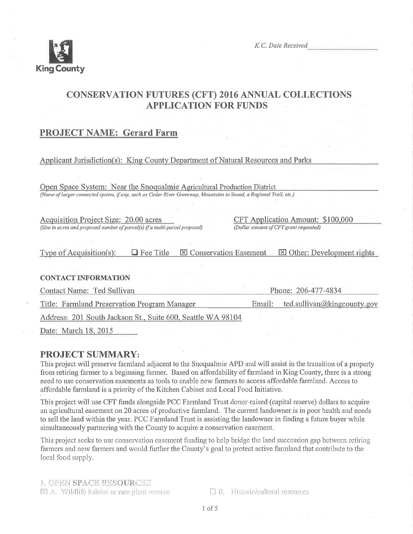

K.C. Date Received

# CONSERVATION FUTURES (CFT) 2016 ANNUAL COLLECTIONS **APPLICATION FOR FUNDS**

## PROJECT NAME: Gerard Farm

#### Applicant Jurisdiction(s): King County Department of Natural Resources and Parks

Open Space System: Near the Snoqualmie Agricultural Production District (Name of larger connected system, if any, such as Cedar River Greenway, Mountains to Sound, a Regional Trail, etc.)

Acquisition Project Size: 20.00 acres (Size in acres and proposed nuntber of parcel(s) if a nulti-parcel proposal) CFT Application Amount: \$100.000 (Dollar amount of CFT grant requested)

Type of Acquisition(s):  $\Box$  Fee Title  $\Box$  Conservation Easement  $\Box$  Other: Development rights

#### **CONTACT INFORMATION**

Contact Name: Ted Sullivan Phone: 206-477-4834 Title: Farmland Preservation Program Manager Email: ted.sullivan@kingcounty.gov

Address: 201 South Jackson St.. Suite 600. Seattle WA 98104

Date: March 18.2015

### PROJECT SUMMARY:

This project will preserve farmland adjacent to the Snoqualmie APD and will assist in the transition of a property from retiring farmer to a beginning farmer. Based on affordability of farmland in King County, there is a strong need to use conservation easements as tools to enable new fanners to access affordable farmland. Access to affordable farmland is a priority of the Kitchen Cabinet and Local Food Initiative.

This project will use CFT funds alongside PCC Farmland Trust donor-raised (capital reserve) dollars to acquire an agricultural easement on20 acres of productive farmland. The current landowner is in poor health and needs to sell the land within the year. PCC Farmland Trust is assisting the landowner in finding a future buyer while simultaneously partnering with the County to acquire a conservation easement.

This project seeks to use conservation easement funding to help bridge the land succession gap between retiring farmers and new farmers and would further the County's goal to protect active farmland that contribute to the local food supply.

L. GPEN SPACE RESOURCES  $\boxtimes$  A. Wildlife habitat or rare plant reserve  $\Box$  E. Historic/cultural resources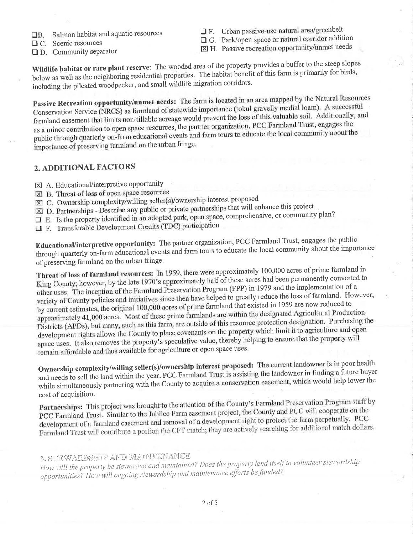- □B. Salmon habitat and aquatic resources
- **Q** C. Scenic resources
- $\Box$  D. Community separator
- $\Box$  F. Urban passive-use natural area/greenbelt
- $\Box$  G. Park/open space or natural corridor addition
- X H. Passive recreation opportunity/unmet needs

Wildlife habitat or rare plant reserve: The wooded area of the property provides a buffer to the steep slopes below as well as the neighboring residential properties. The habitat benefit of this farm is primarily for birds, including the pileated woodpecker, and small wildlife migration corridors.

Passive Recreation opportunity/unmet needs: The farm is located in an area mapped by the Natural Resources Conservation Service (NRCS) as farmland of statewide importance (tokul gravelly medial loam). A successful farmland easement that limits non-tillable acreage would prevent the loss of this valuable soil. Additionally, and as a minor contribution to open space resources, the partner organization, PCC Farmland Trust, engages the public through quarterly on-farm educational events and farm tours to educate the local community about the importance of preserving farmland on the urban fringe.

### 2. ADDITIONAL FACTORS

- $\boxtimes$  A. Educational/interpretive opportunity
- [X] B. Threat of loss of open space resources
- [⊠ C. Ownership complexity/willing seller(s)/ownership interest proposed
- $\boxtimes$  D. Partnerships Describe any public or private partnerships that will enhance this project
- $\square$  E. Is the property identified in an adopted park, open space, comprehensive, or community plan?
- **Q** F. Transferable Development Credits (TDC) participation

Educational/interpretive opportunity: The partner organization, PCC Farmland Trust, engages the public through quarterly on-farm educational events and farm tours to educate the local community about the importance of preserving farmland on the urban fringe.

Threat of loss of farmland resources: In 1959, there were approximately 100,000 acres of prime farmland in King County; however, by the late 1970's approximately half of these acres had been permanently converted to other uses. The inception of the Farmland Preservation Program (FPP) in 1979 and the implementation of a variety of County policies and initiatives since then have helped to greatly reduce the loss of farmland. However, by current estimates, the original 100,000 acres of prime farmland that existed in 1959 are now reduced to approximately 41,000 acres. Most of these prime farmlands are within the designated Agricultural Production Districts (APDs), but many, such as this farm, are outside of this resource protection designation. Purchasing the development rights allows the County to place covenants on the property which limit it to agriculture and open space uses. It also removes the property's speculative value, thereby helping to ensure that the property will remain affordable and thus available for agriculture or open space uses.

Ownership complexity/willing seller(s)/ownership interest proposed: The current landowner is in poor health and needs to sell the land within the year. PCC Farmland Trust is assisting the landowner in finding a future buyer while simultaneously partnering with the County to acquire a conservation easement, which would help lower the cost of acquisition.

Partnerships: This project was brought to the attention of the County's Farmland Preservation Program staff by PCC Farmland Trust. Similar to the Jubilee Farm easement project, the County and PCC will cooperate on the development of a farmland easement and removal of a development right to protect the farm perpetually. PCC Farmland Trust will contribute a portion the CFT match; they are actively searching for additional match dollars.

## 3. STEWARDSHIP AND MAINTENANCE

How will the property be stewarded and maintained? Does the property lend itself to volunteer stewardship opportunities? How will ongoing stewardship and maintenance efforts be funded?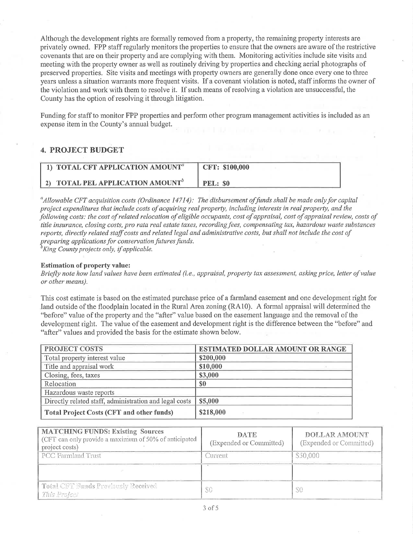Although the development rights are formally removed from a property, the remaining property interests are privately owned. FPP staff regularly monitors the properties to ensure that the owners are aware of the restrictive covenants that are on their property and are complying with them. Monitoring activities include site visits and meeting with the property owner as well as routinely driving by properties and checking aerial photographs of preserved properties. Site visits and meetings with property owners are generally done once every one to three years unless a situation warrants more frequent visits. If a covenant violation is noted, staff informs the owner of the violation and work with them to resolve it. If such means of resolving a violation are unsuccessful, the County has the option of resolving it through litigation.

Funding for staff to monitor FPP properties and perform other program management activities is included as an expense item in the County's annual budget.

### 4. PROJECT BUDGET

| $^{\circ}$ 1) TOTAL CFT APPLICATION AMOUNT $^a$ | CFT: \$100,000  |
|-------------------------------------------------|-----------------|
| 2) TOTAL PEL APPLICATION AMOUNT <sup>6</sup>    | <b>PEL: \$0</b> |

 $^a$ Allowable CFT acquisition costs (Ordinance 14714): The disbursement of funds shall be made only for capital project expenditures that include costs of acquiring real property, including interests in real property, and the following costs: the cost of related relocation of eligible occupants, cost of appraisal, cost of appraisal review, costs of title insurance, closing costs, pro rata real estate taxes, recording fees, compensating tax, hazardous waste substances reports, directly related staff costs and related legal and administrative costs, but shall not include the cost of preparing applications for conservation futures funds.<br><sup>b</sup>King County projects only, if applicable.

#### Estimation of property value:

Briefly note how land values have been estimated (i.e., appraisal, property tax assessment, asking price, letter of value or other means).

This cost estimate is based on the estimated purchase price of a farmland easement and one development right for land outside of the floodplain located in the Rural Area zoning (R410). A formal appraisal will determined the "before" value of the property and the "after" value based on the easement language and the removal of the development right. The value of the easement and development right is the difference between the "before" and "after" values and provided the basis for the estimate shown below.

| <b>PROJECT COSTS</b>                                   | <b>ESTIMATED DOLLAR AMOUNT OR RANGE</b> |
|--------------------------------------------------------|-----------------------------------------|
| Total property interest value                          | \$200,000                               |
| Title and appraisal work                               | \$10,000                                |
| Closing, fees, taxes                                   | \$3,000                                 |
| Relocation                                             | \$0                                     |
| Hazardous waste reports                                |                                         |
| Directly related staff, administration and legal costs | \$5,000                                 |
| <b>Total Project Costs (CFT and other funds)</b>       | \$218,000                               |

| <b>MATCHING FUNDS: Existing Sources</b><br>(CFT can only provide a maximum of 50% of anticipated<br>project costs) | <b>DATE</b><br>(Expended or Committed) | <b>DOLLAR AMOUNT</b><br>(Expended or Committed) |
|--------------------------------------------------------------------------------------------------------------------|----------------------------------------|-------------------------------------------------|
| PCC Farmland Trust                                                                                                 | Current                                | \$50,000                                        |
|                                                                                                                    |                                        |                                                 |
| Total CFT Funds Previously Received<br>This Project                                                                | SG                                     |                                                 |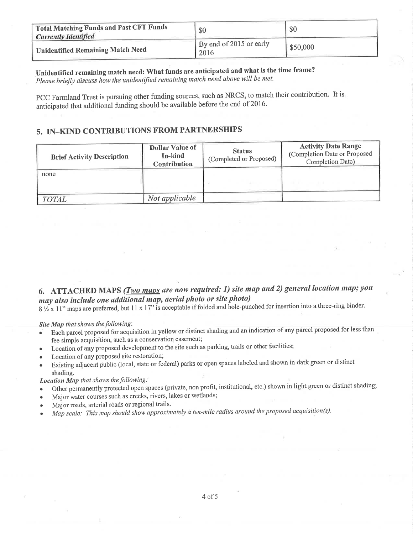| <b>Total Matching Funds and Past CFT Funds</b><br><b>Currently Identified</b> | \$0                             | \$0      |
|-------------------------------------------------------------------------------|---------------------------------|----------|
| Unidentified Remaining Match Need                                             | By end of 2015 or early<br>2016 | \$50,000 |

Unidentified remaining match need: What funds are anticipated and what is the time frame?

Please briefly discuss how the unidentified remaining match need above will be met.

PCC Farmland Trust is pursuing other funding sources, such as NRCS, to match their contribution. It is anticipated that additional funding should be available before the end of 2016.

### 5. IN-KIND CONTRIBUTIONS FROM PARTNERSHIPS

| <b>Brief Activity Description</b> | <b>Dollar Value of</b><br>In-kind<br><b>Contribution</b> | <b>Status</b><br>(Completed or Proposed) | <b>Activity Date Range</b><br>(Completion Date or Proposed<br>Completion Date) |
|-----------------------------------|----------------------------------------------------------|------------------------------------------|--------------------------------------------------------------------------------|
| none                              |                                                          |                                          |                                                                                |
| <b>TOTAL</b>                      | Not applicable                                           |                                          |                                                                                |

# 6. ATTACHED MAPS (*Two maps are now required: 1) site map and 2) general location map; you* may also include one additional map, aerial photo or site photo)

 $8\frac{1}{2} \times 11$ " maps are preferred, but  $11 \times 17$ " is acceptable if folded and hole-punched for insertion into a three-ring binder.

Site Map that shows the following:

- Each parcel proposed for acquisition in yellow or distinct shading and an indication of any parcel proposed for less than fee simple acquisition, such as a conservation easement;
- Location of any proposed development to the site such as parking, trails or other facilities;
- Location of any proposed site restoration;
- Existing adjacent public (local, state or federal) parks or open spaces labeled and shown in dark green or distinct shading.

Location Map that shows the following:

- Other permanently protected open spaces (private, non profit, institutional, etc.) shown in light green or distinct shading;  $\bullet$
- Major water courses such as creeks, rivers, lakes or wetlands;  $\bullet$
- Major roads, arterial roads or regional trails.
- Map scale: This map should show approximately a ten-mile radius around the proposed acquisition(s).  $\bullet$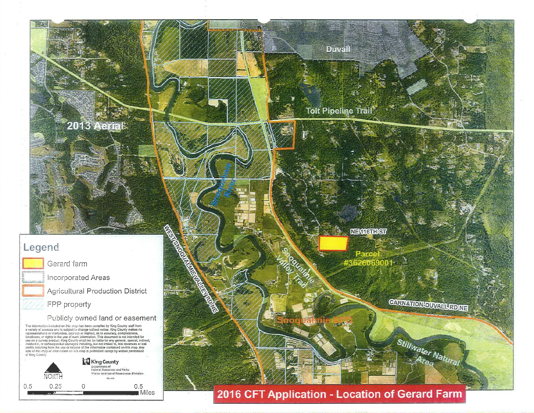